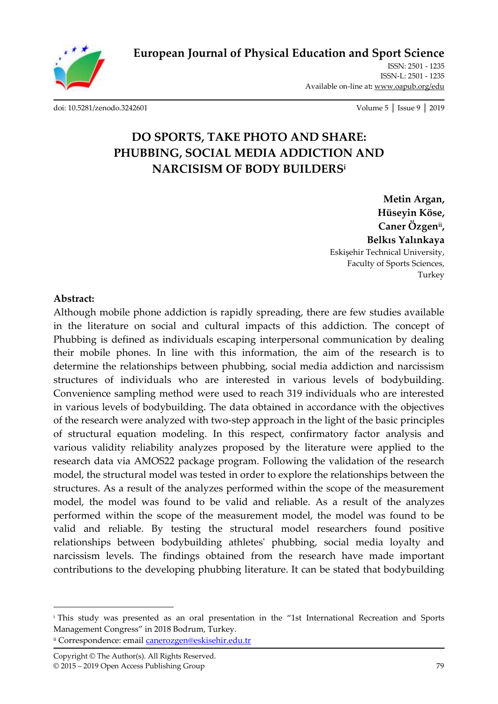**[European Journal of Physical Education and Sport Science](http://oapub.org/edu/index.php/ejep)**

ISSN: 2501 - 1235 ISSN-L: 2501 - 1235 Available on-line at**:** [www.oapub.org/edu](http://www.oapub.org/edu)

[doi: 10.5281/zenodo.3242601](http://dx.doi.org/10.5281/zenodo.3242601) Volume 5 │ Issue 9 │ 2019

# **DO SPORTS, TAKE PHOTO AND SHARE: PHUBBING, SOCIAL MEDIA ADDICTION AND NARCISISM OF BODY BUILDERS<sup>i</sup>**

**Metin Argan, Hüseyin Köse, Caner Özgenii , Belkıs Yalınkaya** Eskişehir Technical University, Faculty of Sports Sciences, Turkey

#### **Abstract:**

 $\overline{\phantom{a}}$ 

Although mobile phone addiction is rapidly spreading, there are few studies available in the literature on social and cultural impacts of this addiction. The concept of Phubbing is defined as individuals escaping interpersonal communication by dealing their mobile phones. In line with this information, the aim of the research is to determine the relationships between phubbing, social media addiction and narcissism structures of individuals who are interested in various levels of bodybuilding. Convenience sampling method were used to reach 319 individuals who are interested in various levels of bodybuilding. The data obtained in accordance with the objectives of the research were analyzed with two-step approach in the light of the basic principles of structural equation modeling. In this respect, confirmatory factor analysis and various validity reliability analyzes proposed by the literature were applied to the research data via AMOS22 package program. Following the validation of the research model, the structural model was tested in order to explore the relationships between the structures. As a result of the analyzes performed within the scope of the measurement model, the model was found to be valid and reliable. As a result of the analyzes performed within the scope of the measurement model, the model was found to be valid and reliable. By testing the structural model researchers found positive relationships between bodybuilding athletes' phubbing, social media loyalty and narcissism levels. The findings obtained from the research have made important contributions to the developing phubbing literature. It can be stated that bodybuilding

ii Correspondence: email [canerozgen@eskisehir.edu.tr](mailto:canerozgen@eskisehir.edu.tr)

<sup>i</sup> This study was presented as an oral presentation in the "1st International Recreation and Sports Management Congress" in 2018 Bodrum, Turkey.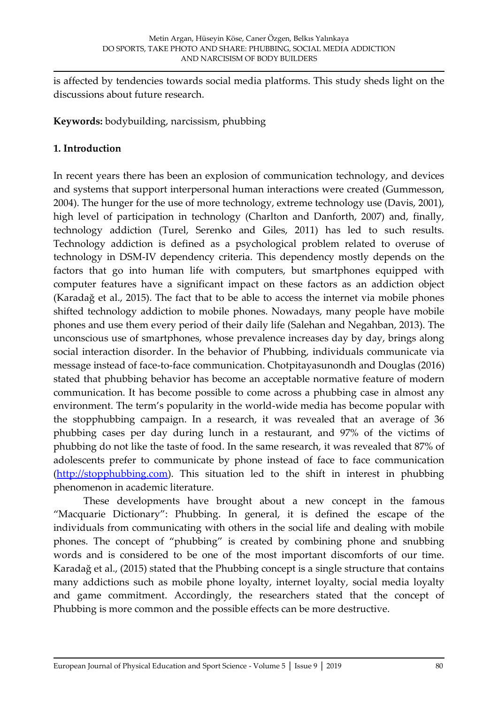is affected by tendencies towards social media platforms. This study sheds light on the discussions about future research.

**Keywords:** bodybuilding, narcissism, phubbing

#### **1. Introduction**

In recent years there has been an explosion of communication technology, and devices and systems that support interpersonal human interactions were created (Gummesson, 2004). The hunger for the use of more technology, extreme technology use (Davis, 2001), high level of participation in technology (Charlton and Danforth, 2007) and, finally, technology addiction (Turel, Serenko and Giles, 2011) has led to such results. Technology addiction is defined as a psychological problem related to overuse of technology in DSM-IV dependency criteria. This dependency mostly depends on the factors that go into human life with computers, but smartphones equipped with computer features have a significant impact on these factors as an addiction object (Karadağ et al., 2015). The fact that to be able to access the internet via mobile phones shifted technology addiction to mobile phones. Nowadays, many people have mobile phones and use them every period of their daily life (Salehan and Negahban, 2013). The unconscious use of smartphones, whose prevalence increases day by day, brings along social interaction disorder. In the behavior of Phubbing, individuals communicate via message instead of face-to-face communication. Chotpitayasunondh and Douglas (2016) stated that phubbing behavior has become an acceptable normative feature of modern communication. It has become possible to come across a phubbing case in almost any environment. The term's popularity in the world-wide media has become popular with the stopphubbing campaign. In a research, it was revealed that an average of 36 phubbing cases per day during lunch in a restaurant, and 97% of the victims of phubbing do not like the taste of food. In the same research, it was revealed that 87% of adolescents prefer to communicate by phone instead of face to face communication [\(http://stopphubbing.com\)](http://stopphubbing.com/). This situation led to the shift in interest in phubbing phenomenon in academic literature.

These developments have brought about a new concept in the famous "Macquarie Dictionary": Phubbing. In general, it is defined the escape of the individuals from communicating with others in the social life and dealing with mobile phones. The concept of "phubbing" is created by combining phone and snubbing words and is considered to be one of the most important discomforts of our time. Karadağ et al., (2015) stated that the Phubbing concept is a single structure that contains many addictions such as mobile phone loyalty, internet loyalty, social media loyalty and game commitment. Accordingly, the researchers stated that the concept of Phubbing is more common and the possible effects can be more destructive.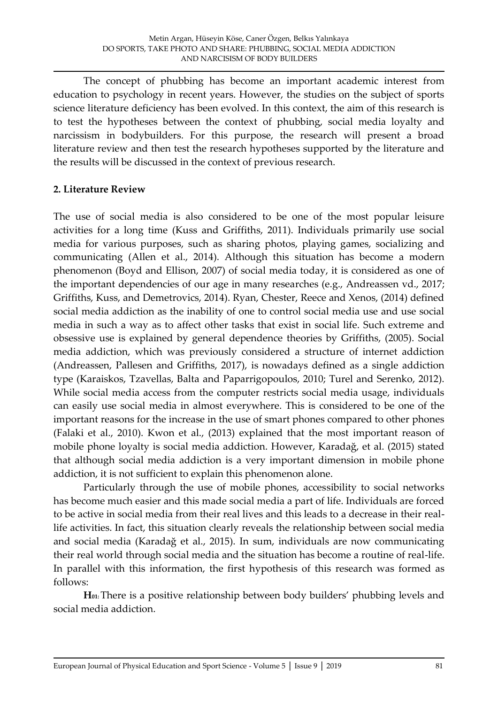The concept of phubbing has become an important academic interest from education to psychology in recent years. However, the studies on the subject of sports science literature deficiency has been evolved. In this context, the aim of this research is to test the hypotheses between the context of phubbing, social media loyalty and narcissism in bodybuilders. For this purpose, the research will present a broad literature review and then test the research hypotheses supported by the literature and the results will be discussed in the context of previous research.

#### **2. Literature Review**

The use of social media is also considered to be one of the most popular leisure activities for a long time (Kuss and Griffiths, 2011). Individuals primarily use social media for various purposes, such as sharing photos, playing games, socializing and communicating (Allen et al., 2014). Although this situation has become a modern phenomenon (Boyd and Ellison, 2007) of social media today, it is considered as one of the important dependencies of our age in many researches (e.g., Andreassen vd., 2017; Griffiths, Kuss, and Demetrovics, 2014). Ryan, Chester, Reece and Xenos, (2014) defined social media addiction as the inability of one to control social media use and use social media in such a way as to affect other tasks that exist in social life. Such extreme and obsessive use is explained by general dependence theories by Griffiths, (2005). Social media addiction, which was previously considered a structure of internet addiction (Andreassen, Pallesen and Griffiths, 2017), is nowadays defined as a single addiction type (Karaiskos, Tzavellas, Balta and Paparrigopoulos, 2010; Turel and Serenko, 2012). While social media access from the computer restricts social media usage, individuals can easily use social media in almost everywhere. This is considered to be one of the important reasons for the increase in the use of smart phones compared to other phones (Falaki et al., 2010). Kwon et al., (2013) explained that the most important reason of mobile phone loyalty is social media addiction. However, Karadağ, et al. (2015) stated that although social media addiction is a very important dimension in mobile phone addiction, it is not sufficient to explain this phenomenon alone.

Particularly through the use of mobile phones, accessibility to social networks has become much easier and this made social media a part of life. Individuals are forced to be active in social media from their real lives and this leads to a decrease in their reallife activities. In fact, this situation clearly reveals the relationship between social media and social media (Karadağ et al., 2015). In sum, individuals are now communicating their real world through social media and the situation has become a routine of real-life. In parallel with this information, the first hypothesis of this research was formed as follows:

**H01:** There is a positive relationship between body builders' phubbing levels and social media addiction.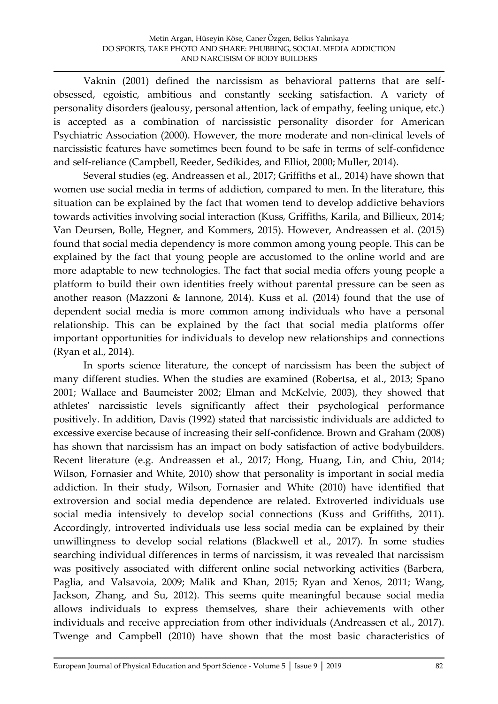Vaknin (2001) defined the narcissism as behavioral patterns that are selfobsessed, egoistic, ambitious and constantly seeking satisfaction. A variety of personality disorders (jealousy, personal attention, lack of empathy, feeling unique, etc.) is accepted as a combination of narcissistic personality disorder for American Psychiatric Association (2000). However, the more moderate and non-clinical levels of narcissistic features have sometimes been found to be safe in terms of self-confidence and self-reliance (Campbell, Reeder, Sedikides, and Elliot, 2000; Muller, 2014).

Several studies (eg. Andreassen et al., 2017; Griffiths et al., 2014) have shown that women use social media in terms of addiction, compared to men. In the literature, this situation can be explained by the fact that women tend to develop addictive behaviors towards activities involving social interaction (Kuss, Griffiths, Karila, and Billieux, 2014; Van Deursen, Bolle, Hegner, and Kommers, 2015). However, Andreassen et al. (2015) found that social media dependency is more common among young people. This can be explained by the fact that young people are accustomed to the online world and are more adaptable to new technologies. The fact that social media offers young people a platform to build their own identities freely without parental pressure can be seen as another reason (Mazzoni & Iannone, 2014). Kuss et al. (2014) found that the use of dependent social media is more common among individuals who have a personal relationship. This can be explained by the fact that social media platforms offer important opportunities for individuals to develop new relationships and connections (Ryan et al., 2014).

In sports science literature, the concept of narcissism has been the subject of many different studies. When the studies are examined (Robertsa, et al., 2013; Spano 2001; Wallace and Baumeister 2002; Elman and McKelvie, 2003), they showed that athletes' narcissistic levels significantly affect their psychological performance positively. In addition, Davis (1992) stated that narcissistic individuals are addicted to excessive exercise because of increasing their self-confidence. Brown and Graham (2008) has shown that narcissism has an impact on body satisfaction of active bodybuilders. Recent literature (e.g. Andreassen et al., 2017; Hong, Huang, Lin, and Chiu, 2014; Wilson, Fornasier and White, 2010) show that personality is important in social media addiction. In their study, Wilson, Fornasier and White (2010) have identified that extroversion and social media dependence are related. Extroverted individuals use social media intensively to develop social connections (Kuss and Griffiths, 2011). Accordingly, introverted individuals use less social media can be explained by their unwillingness to develop social relations (Blackwell et al., 2017). In some studies searching individual differences in terms of narcissism, it was revealed that narcissism was positively associated with different online social networking activities (Barbera, Paglia, and Valsavoia, 2009; Malik and Khan, 2015; Ryan and Xenos, 2011; Wang, Jackson, Zhang, and Su, 2012). This seems quite meaningful because social media allows individuals to express themselves, share their achievements with other individuals and receive appreciation from other individuals (Andreassen et al., 2017). Twenge and Campbell (2010) have shown that the most basic characteristics of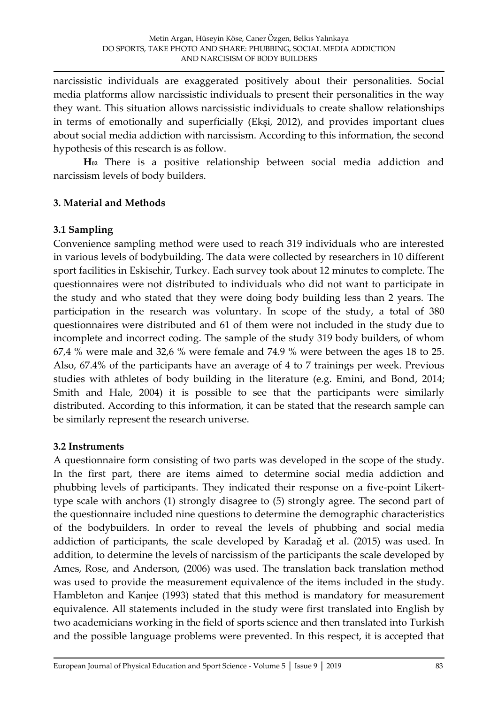narcissistic individuals are exaggerated positively about their personalities. Social media platforms allow narcissistic individuals to present their personalities in the way they want. This situation allows narcissistic individuals to create shallow relationships in terms of emotionally and superficially (Ekşi, 2012), and provides important clues about social media addiction with narcissism. According to this information, the second hypothesis of this research is as follow.

**H<sup>02</sup>** There is a positive relationship between social media addiction and narcissism levels of body builders.

#### **3. Material and Methods**

#### **3.1 Sampling**

Convenience sampling method were used to reach 319 individuals who are interested in various levels of bodybuilding. The data were collected by researchers in 10 different sport facilities in Eskisehir, Turkey. Each survey took about 12 minutes to complete. The questionnaires were not distributed to individuals who did not want to participate in the study and who stated that they were doing body building less than 2 years. The participation in the research was voluntary. In scope of the study, a total of 380 questionnaires were distributed and 61 of them were not included in the study due to incomplete and incorrect coding. The sample of the study 319 body builders, of whom 67,4 % were male and 32,6 % were female and 74.9 % were between the ages 18 to 25. Also, 67.4% of the participants have an average of 4 to 7 trainings per week. Previous studies with athletes of body building in the literature (e.g. Emini, and Bond, 2014; Smith and Hale, 2004) it is possible to see that the participants were similarly distributed. According to this information, it can be stated that the research sample can be similarly represent the research universe.

#### **3.2 Instruments**

A questionnaire form consisting of two parts was developed in the scope of the study. In the first part, there are items aimed to determine social media addiction and phubbing levels of participants. They indicated their response on a five-point Likerttype scale with anchors (1) strongly disagree to (5) strongly agree. The second part of the questionnaire included nine questions to determine the demographic characteristics of the bodybuilders. In order to reveal the levels of phubbing and social media addiction of participants, the scale developed by Karadağ et al. (2015) was used. In addition, to determine the levels of narcissism of the participants the scale developed by Ames, Rose, and Anderson, (2006) was used. The translation back translation method was used to provide the measurement equivalence of the items included in the study. Hambleton and Kanjee (1993) stated that this method is mandatory for measurement equivalence. All statements included in the study were first translated into English by two academicians working in the field of sports science and then translated into Turkish and the possible language problems were prevented. In this respect, it is accepted that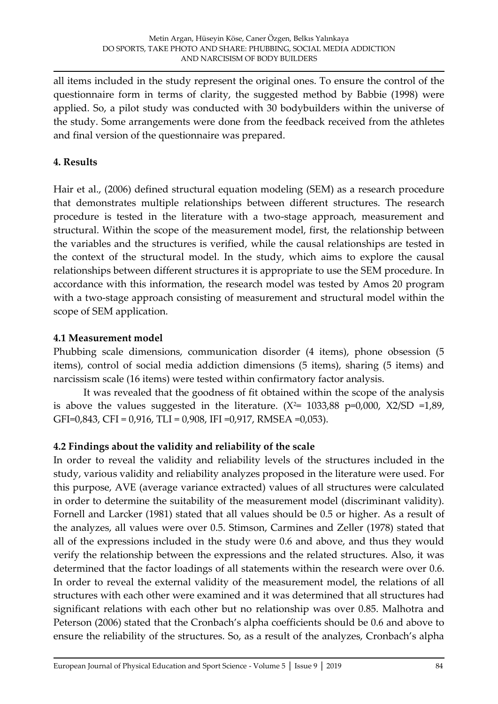all items included in the study represent the original ones. To ensure the control of the questionnaire form in terms of clarity, the suggested method by Babbie (1998) were applied. So, a pilot study was conducted with 30 bodybuilders within the universe of the study. Some arrangements were done from the feedback received from the athletes and final version of the questionnaire was prepared.

# **4. Results**

Hair et al., (2006) defined structural equation modeling (SEM) as a research procedure that demonstrates multiple relationships between different structures. The research procedure is tested in the literature with a two-stage approach, measurement and structural. Within the scope of the measurement model, first, the relationship between the variables and the structures is verified, while the causal relationships are tested in the context of the structural model. In the study, which aims to explore the causal relationships between different structures it is appropriate to use the SEM procedure. In accordance with this information, the research model was tested by Amos 20 program with a two-stage approach consisting of measurement and structural model within the scope of SEM application.

# **4.1 Measurement model**

Phubbing scale dimensions, communication disorder (4 items), phone obsession (5 items), control of social media addiction dimensions (5 items), sharing (5 items) and narcissism scale (16 items) were tested within confirmatory factor analysis.

It was revealed that the goodness of fit obtained within the scope of the analysis is above the values suggested in the literature.  $(X^2= 1033,88 \text{ p=0,000}, X2/SD =1,89,$ GFI=0,843, CFI = 0,916, TLI = 0,908, IFI =0,917, RMSEA =0,053).

# **4.2 Findings about the validity and reliability of the scale**

In order to reveal the validity and reliability levels of the structures included in the study, various validity and reliability analyzes proposed in the literature were used. For this purpose, AVE (average variance extracted) values of all structures were calculated in order to determine the suitability of the measurement model (discriminant validity). Fornell and Larcker (1981) stated that all values should be 0.5 or higher. As a result of the analyzes, all values were over 0.5. Stimson, Carmines and Zeller (1978) stated that all of the expressions included in the study were 0.6 and above, and thus they would verify the relationship between the expressions and the related structures. Also, it was determined that the factor loadings of all statements within the research were over 0.6. In order to reveal the external validity of the measurement model, the relations of all structures with each other were examined and it was determined that all structures had significant relations with each other but no relationship was over 0.85. Malhotra and Peterson (2006) stated that the Cronbach's alpha coefficients should be 0.6 and above to ensure the reliability of the structures. So, as a result of the analyzes, Cronbach's alpha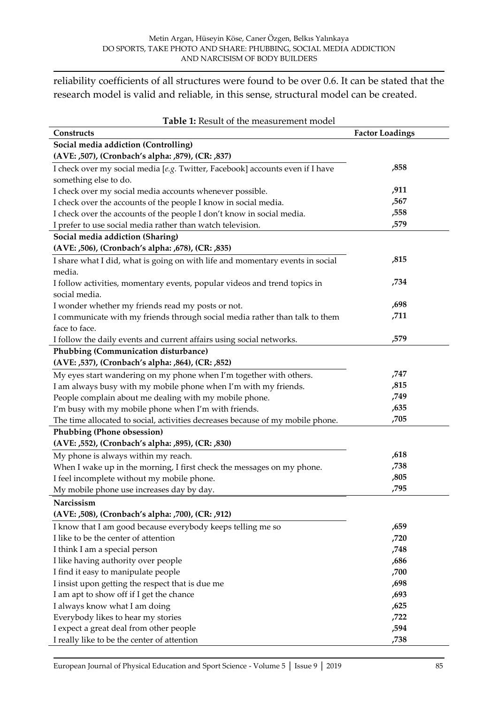reliability coefficients of all structures were found to be over 0.6. It can be stated that the research model is valid and reliable, in this sense, structural model can be created.

| Table 1: Result of the measurement model                                       |                        |  |  |  |
|--------------------------------------------------------------------------------|------------------------|--|--|--|
| Constructs                                                                     | <b>Factor Loadings</b> |  |  |  |
| Social media addiction (Controlling)                                           |                        |  |  |  |
| (AVE: ,507), (Cronbach's alpha: ,879), (CR: ,837)                              |                        |  |  |  |
| I check over my social media [e.g. Twitter, Facebook] accounts even if I have  | ,858                   |  |  |  |
| something else to do.                                                          |                        |  |  |  |
| I check over my social media accounts whenever possible.                       | ,911                   |  |  |  |
| I check over the accounts of the people I know in social media.                | ,567                   |  |  |  |
| I check over the accounts of the people I don't know in social media.          | ,558                   |  |  |  |
| I prefer to use social media rather than watch television.                     | ,579                   |  |  |  |
| Social media addiction (Sharing)                                               |                        |  |  |  |
| (AVE: ,506), (Cronbach's alpha: ,678), (CR: ,835)                              |                        |  |  |  |
| I share what I did, what is going on with life and momentary events in social  | ,815                   |  |  |  |
| media.                                                                         |                        |  |  |  |
| I follow activities, momentary events, popular videos and trend topics in      | ,734                   |  |  |  |
| social media.                                                                  |                        |  |  |  |
| I wonder whether my friends read my posts or not.                              | ,698                   |  |  |  |
| I communicate with my friends through social media rather than talk to them    | ,711                   |  |  |  |
| face to face.                                                                  |                        |  |  |  |
| I follow the daily events and current affairs using social networks.           | ,579                   |  |  |  |
| Phubbing (Communication disturbance)                                           |                        |  |  |  |
| (AVE: ,537), (Cronbach's alpha: ,864), (CR: ,852)                              |                        |  |  |  |
| My eyes start wandering on my phone when I'm together with others.             | ,747                   |  |  |  |
| I am always busy with my mobile phone when I'm with my friends.                | ,815                   |  |  |  |
| People complain about me dealing with my mobile phone.                         | ,749                   |  |  |  |
| I'm busy with my mobile phone when I'm with friends.                           | ,635                   |  |  |  |
| The time allocated to social, activities decreases because of my mobile phone. | ,705                   |  |  |  |
| Phubbing (Phone obsession)                                                     |                        |  |  |  |
| (AVE: ,552), (Cronbach's alpha: ,895), (CR: ,830)                              |                        |  |  |  |
| My phone is always within my reach.                                            | ,618                   |  |  |  |
| When I wake up in the morning, I first check the messages on my phone.         | ,738                   |  |  |  |
| I feel incomplete without my mobile phone.                                     | ,805                   |  |  |  |
| My mobile phone use increases day by day.                                      | ,795                   |  |  |  |
| Narcissism                                                                     |                        |  |  |  |
| (AVE: ,508), (Cronbach's alpha: ,700), (CR: ,912)                              |                        |  |  |  |
| I know that I am good because everybody keeps telling me so                    | ,659                   |  |  |  |
| I like to be the center of attention                                           | ,720                   |  |  |  |
| I think I am a special person                                                  | ,748                   |  |  |  |
| I like having authority over people                                            | ,686                   |  |  |  |
| I find it easy to manipulate people                                            | ,700                   |  |  |  |
| I insist upon getting the respect that is due me                               | ,698                   |  |  |  |
| I am apt to show off if I get the chance                                       | ,693                   |  |  |  |
| I always know what I am doing                                                  | ,625                   |  |  |  |
| Everybody likes to hear my stories                                             | ,722                   |  |  |  |
| I expect a great deal from other people                                        | ,594                   |  |  |  |
| I really like to be the center of attention                                    | ,738                   |  |  |  |

[European Journal of Physical Education and Sport Science -](http://oapub.org/edu/index.php/ejep) Volume 5 | Issue 9 | 2019 85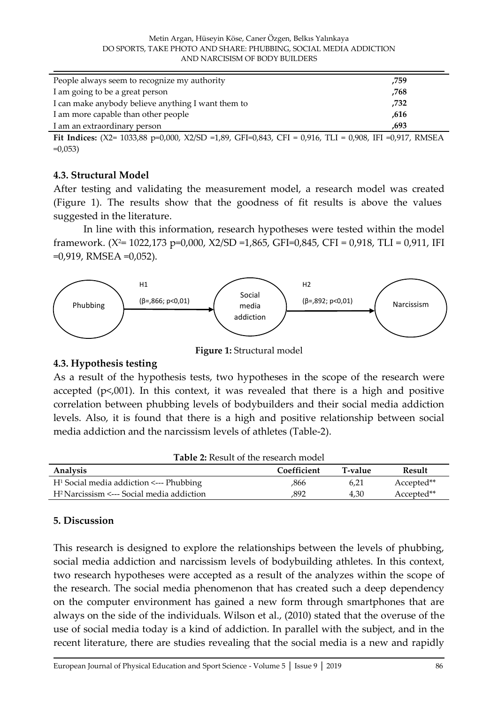| People always seem to recognize my authority<br>,759       |  |
|------------------------------------------------------------|--|
| I am going to be a great person<br>.768                    |  |
| I can make anybody believe anything I want them to<br>,732 |  |
| I am more capable than other people<br>.616                |  |
| I am an extraordinary person<br>.693                       |  |

**Fit Indices:** (X2= 1033,88 p=0,000, X2/SD =1,89, GFI=0,843, CFI = 0,916, TLI = 0,908, IFI =0,917, RMSEA  $=0,053$ )

#### **4.3. Structural Model**

After testing and validating the measurement model, a research model was created (Figure 1). The results show that the goodness of fit results is above the values suggested in the literature.

In line with this information, research hypotheses were tested within the model framework. ( $X^2$ = 1022,173 p=0,000,  $X2/SD$  =1,865, GFI=0,845, CFI = 0,918, TLI = 0,911, IFI =0,919, RMSEA =0,052).



**Figure 1:** Structural model

# **4.3. Hypothesis testing**

As a result of the hypothesis tests, two hypotheses in the scope of the research were accepted  $(p<0.001)$ . In this context, it was revealed that there is a high and positive correlation between phubbing levels of bodybuilders and their social media addiction levels. Also, it is found that there is a high and positive relationship between social media addiction and the narcissism levels of athletes (Table-2).

| <b>Table 2:</b> Result of the research model          |             |         |            |  |
|-------------------------------------------------------|-------------|---------|------------|--|
| Analysis                                              | Coefficient | T-value | Result     |  |
| $H1$ Social media addiction $\leftarrow$ -- Phubbing  | ,866        | 6.21    | Accepted** |  |
| H <sup>2</sup> Narcissism <--- Social media addiction | .892        | 4.30    | Accepted** |  |

# **5. Discussion**

This research is designed to explore the relationships between the levels of phubbing, social media addiction and narcissism levels of bodybuilding athletes. In this context, two research hypotheses were accepted as a result of the analyzes within the scope of the research. The social media phenomenon that has created such a deep dependency on the computer environment has gained a new form through smartphones that are always on the side of the individuals. Wilson et al., (2010) stated that the overuse of the use of social media today is a kind of addiction. In parallel with the subject, and in the recent literature, there are studies revealing that the social media is a new and rapidly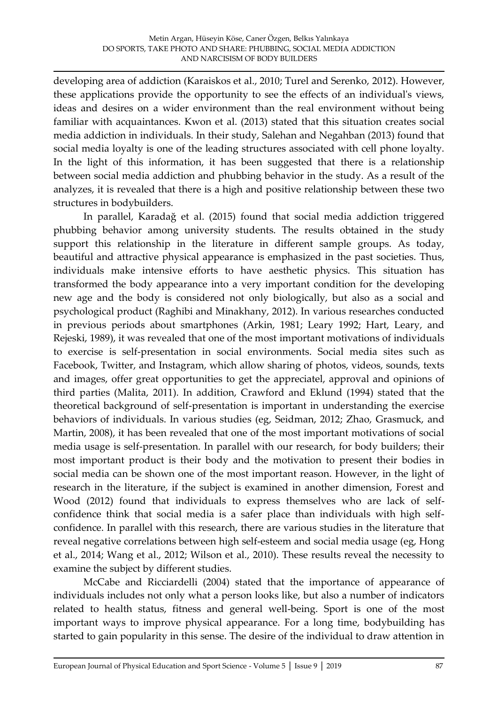developing area of addiction (Karaiskos et al., 2010; Turel and Serenko, 2012). However, these applications provide the opportunity to see the effects of an individual's views, ideas and desires on a wider environment than the real environment without being familiar with acquaintances. Kwon et al. (2013) stated that this situation creates social media addiction in individuals. In their study, Salehan and Negahban (2013) found that social media loyalty is one of the leading structures associated with cell phone loyalty. In the light of this information, it has been suggested that there is a relationship between social media addiction and phubbing behavior in the study. As a result of the analyzes, it is revealed that there is a high and positive relationship between these two structures in bodybuilders.

In parallel, Karadağ et al. (2015) found that social media addiction triggered phubbing behavior among university students. The results obtained in the study support this relationship in the literature in different sample groups. As today, beautiful and attractive physical appearance is emphasized in the past societies. Thus, individuals make intensive efforts to have aesthetic physics. This situation has transformed the body appearance into a very important condition for the developing new age and the body is considered not only biologically, but also as a social and psychological product (Raghibi and Minakhany, 2012). In various researches conducted in previous periods about smartphones (Arkin, 1981; Leary 1992; Hart, Leary, and Rejeski, 1989), it was revealed that one of the most important motivations of individuals to exercise is self-presentation in social environments. Social media sites such as Facebook, Twitter, and Instagram, which allow sharing of photos, videos, sounds, texts and images, offer great opportunities to get the appreciatel, approval and opinions of third parties (Malita, 2011). In addition, Crawford and Eklund (1994) stated that the theoretical background of self-presentation is important in understanding the exercise behaviors of individuals. In various studies (eg, Seidman, 2012; Zhao, Grasmuck, and Martin, 2008), it has been revealed that one of the most important motivations of social media usage is self-presentation. In parallel with our research, for body builders; their most important product is their body and the motivation to present their bodies in social media can be shown one of the most important reason. However, in the light of research in the literature, if the subject is examined in another dimension, Forest and Wood (2012) found that individuals to express themselves who are lack of selfconfidence think that social media is a safer place than individuals with high selfconfidence. In parallel with this research, there are various studies in the literature that reveal negative correlations between high self-esteem and social media usage (eg, Hong et al., 2014; Wang et al., 2012; Wilson et al., 2010). These results reveal the necessity to examine the subject by different studies.

McCabe and Ricciardelli (2004) stated that the importance of appearance of individuals includes not only what a person looks like, but also a number of indicators related to health status, fitness and general well-being. Sport is one of the most important ways to improve physical appearance. For a long time, bodybuilding has started to gain popularity in this sense. The desire of the individual to draw attention in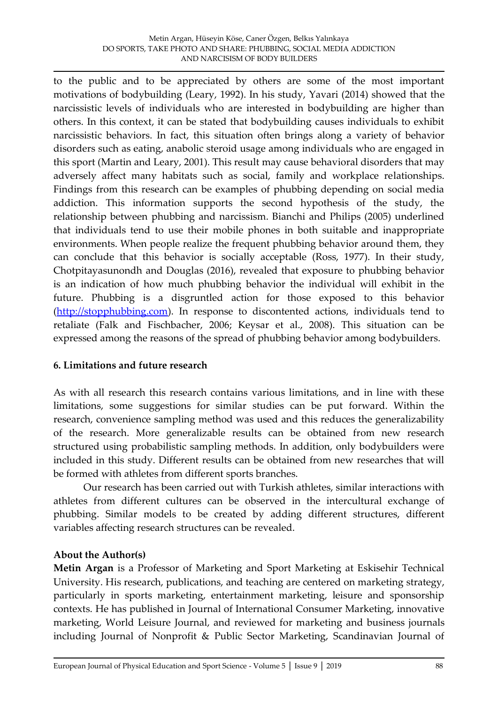to the public and to be appreciated by others are some of the most important motivations of bodybuilding (Leary, 1992). In his study, Yavari (2014) showed that the narcissistic levels of individuals who are interested in bodybuilding are higher than others. In this context, it can be stated that bodybuilding causes individuals to exhibit narcissistic behaviors. In fact, this situation often brings along a variety of behavior disorders such as eating, anabolic steroid usage among individuals who are engaged in this sport (Martin and Leary, 2001). This result may cause behavioral disorders that may adversely affect many habitats such as social, family and workplace relationships. Findings from this research can be examples of phubbing depending on social media addiction. This information supports the second hypothesis of the study, the relationship between phubbing and narcissism. Bianchi and Philips (2005) underlined that individuals tend to use their mobile phones in both suitable and inappropriate environments. When people realize the frequent phubbing behavior around them, they can conclude that this behavior is socially acceptable (Ross, 1977). In their study, Chotpitayasunondh and Douglas (2016), revealed that exposure to phubbing behavior is an indication of how much phubbing behavior the individual will exhibit in the future. Phubbing is a disgruntled action for those exposed to this behavior [\(http://stopphubbing.com\)](http://stopphubbing.com/). In response to discontented actions, individuals tend to retaliate (Falk and Fischbacher, 2006; Keysar et al., 2008). This situation can be expressed among the reasons of the spread of phubbing behavior among bodybuilders.

# **6. Limitations and future research**

As with all research this research contains various limitations, and in line with these limitations, some suggestions for similar studies can be put forward. Within the research, convenience sampling method was used and this reduces the generalizability of the research. More generalizable results can be obtained from new research structured using probabilistic sampling methods. In addition, only bodybuilders were included in this study. Different results can be obtained from new researches that will be formed with athletes from different sports branches.

Our research has been carried out with Turkish athletes, similar interactions with athletes from different cultures can be observed in the intercultural exchange of phubbing. Similar models to be created by adding different structures, different variables affecting research structures can be revealed.

# **About the Author(s)**

**Metin Argan** is a Professor of Marketing and Sport Marketing at Eskisehir Technical University. His research, publications, and teaching are centered on marketing strategy, particularly in sports marketing, entertainment marketing, leisure and sponsorship contexts. He has published in Journal of International Consumer Marketing, innovative marketing, World Leisure Journal, and reviewed for marketing and business journals including Journal of Nonprofit & Public Sector Marketing, Scandinavian Journal of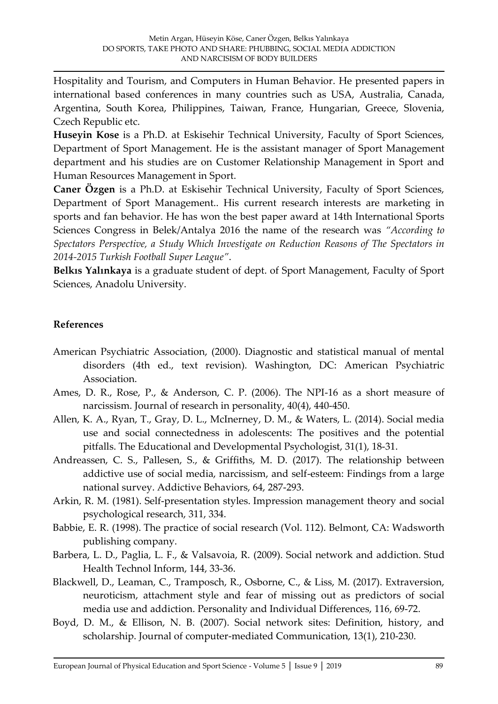Hospitality and Tourism, and Computers in Human Behavior. He presented papers in international based conferences in many countries such as USA, Australia, Canada, Argentina, South Korea, Philippines, Taiwan, France, Hungarian, Greece, Slovenia, Czech Republic etc.

**Huseyin Kose** is a Ph.D. at Eskisehir Technical University, Faculty of Sport Sciences, Department of Sport Management. He is the assistant manager of Sport Management department and his studies are on Customer Relationship Management in Sport and Human Resources Management in Sport.

**Caner Özgen** is a Ph.D. at Eskisehir Technical University, Faculty of Sport Sciences, Department of Sport Management.. His current research interests are marketing in sports and fan behavior. He has won the best paper award at 14th International Sports Sciences Congress in Belek/Antalya 2016 the name of the research was *"According to Spectators Perspective, a Study Which Investigate on Reduction Reasons of The Spectators in 2014-2015 Turkish Football Super League"*.

**Belkıs Yalınkaya** is a graduate student of dept. of Sport Management, Faculty of Sport Sciences, Anadolu University.

# **References**

- American Psychiatric Association, (2000). Diagnostic and statistical manual of mental disorders (4th ed., text revision). Washington, DC: American Psychiatric Association.
- Ames, D. R., Rose, P., & Anderson, C. P. (2006). The NPI-16 as a short measure of narcissism. Journal of research in personality, 40(4), 440-450.
- Allen, K. A., Ryan, T., Gray, D. L., McInerney, D. M., & Waters, L. (2014). Social media use and social connectedness in adolescents: The positives and the potential pitfalls. The Educational and Developmental Psychologist, 31(1), 18-31.
- Andreassen, C. S., Pallesen, S., & Griffiths, M. D. (2017). The relationship between addictive use of social media, narcissism, and self-esteem: Findings from a large national survey. Addictive Behaviors, 64, 287-293.
- Arkin, R. M. (1981). Self-presentation styles. Impression management theory and social psychological research, 311, 334.
- Babbie, E. R. (1998). The practice of social research (Vol. 112). Belmont, CA: Wadsworth publishing company.
- Barbera, L. D., Paglia, L. F., & Valsavoia, R. (2009). Social network and addiction. Stud Health Technol Inform, 144, 33-36.
- Blackwell, D., Leaman, C., Tramposch, R., Osborne, C., & Liss, M. (2017). Extraversion, neuroticism, attachment style and fear of missing out as predictors of social media use and addiction. Personality and Individual Differences, 116, 69-72.
- Boyd, D. M., & Ellison, N. B. (2007). Social network sites: Definition, history, and scholarship. Journal of computer‐mediated Communication, 13(1), 210-230.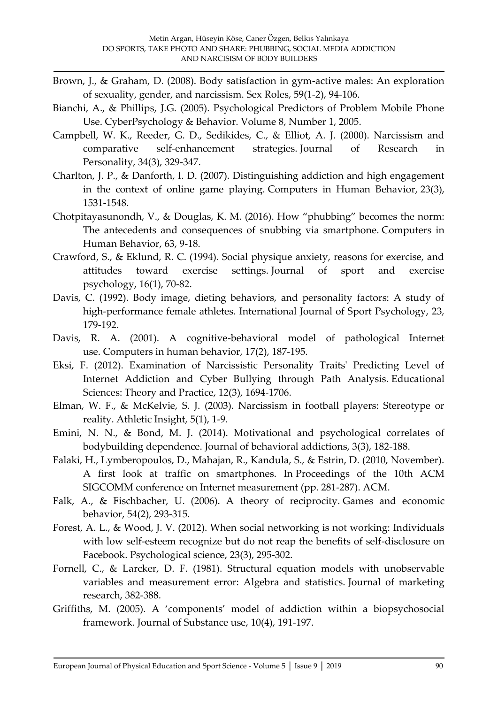- Brown, J., & Graham, D. (2008). Body satisfaction in gym-active males: An exploration of sexuality, gender, and narcissism. Sex Roles, 59(1-2), 94-106.
- Bianchi, A., & Phillips, J.G. (2005). Psychological Predictors of Problem Mobile Phone Use. CyberPsychology & Behavior. Volume 8, Number 1, 2005.
- Campbell, W. K., Reeder, G. D., Sedikides, C., & Elliot, A. J. (2000). Narcissism and comparative self-enhancement strategies. Journal of Research in Personality, 34(3), 329-347.
- Charlton, J. P., & Danforth, I. D. (2007). Distinguishing addiction and high engagement in the context of online game playing. Computers in Human Behavior, 23(3), 1531-1548.
- Chotpitayasunondh, V., & Douglas, K. M. (2016). How "phubbing" becomes the norm: The antecedents and consequences of snubbing via smartphone. Computers in Human Behavior, 63, 9-18.
- Crawford, S., & Eklund, R. C. (1994). Social physique anxiety, reasons for exercise, and attitudes toward exercise settings. Journal of sport and exercise psychology, 16(1), 70-82.
- Davis, C. (1992). Body image, dieting behaviors, and personality factors: A study of high-performance female athletes. International Journal of Sport Psychology, 23, 179-192.
- Davis, R. A. (2001). A cognitive-behavioral model of pathological Internet use. Computers in human behavior, 17(2), 187-195.
- Eksi, F. (2012). Examination of Narcissistic Personality Traits' Predicting Level of Internet Addiction and Cyber Bullying through Path Analysis. Educational Sciences: Theory and Practice, 12(3), 1694-1706.
- Elman, W. F., & McKelvie, S. J. (2003). Narcissism in football players: Stereotype or reality. Athletic Insight, 5(1), 1-9.
- Emini, N. N., & Bond, M. J. (2014). Motivational and psychological correlates of bodybuilding dependence. Journal of behavioral addictions, 3(3), 182-188.
- Falaki, H., Lymberopoulos, D., Mahajan, R., Kandula, S., & Estrin, D. (2010, November). A first look at traffic on smartphones. In Proceedings of the 10th ACM SIGCOMM conference on Internet measurement (pp. 281-287). ACM.
- Falk, A., & Fischbacher, U. (2006). A theory of reciprocity. Games and economic behavior, 54(2), 293-315.
- Forest, A. L., & Wood, J. V. (2012). When social networking is not working: Individuals with low self-esteem recognize but do not reap the benefits of self-disclosure on Facebook. Psychological science, 23(3), 295-302.
- Fornell, C., & Larcker, D. F. (1981). Structural equation models with unobservable variables and measurement error: Algebra and statistics. Journal of marketing research, 382-388.
- Griffiths, M. (2005). A 'components' model of addiction within a biopsychosocial framework. Journal of Substance use, 10(4), 191-197.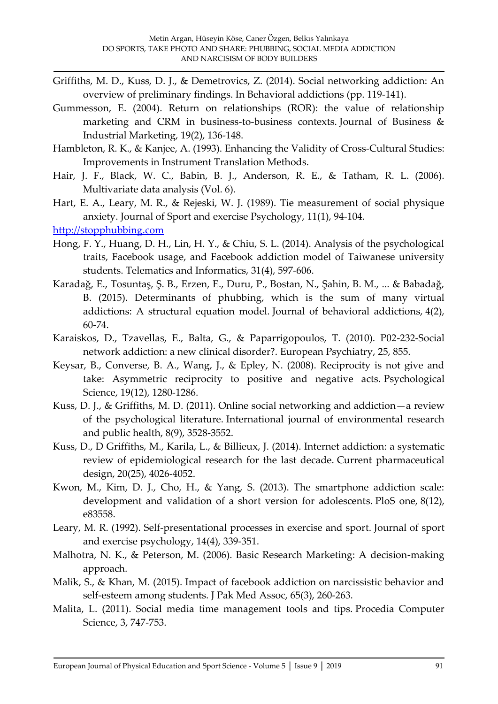- Griffiths, M. D., Kuss, D. J., & Demetrovics, Z. (2014). Social networking addiction: An overview of preliminary findings. In Behavioral addictions (pp. 119-141).
- Gummesson, E. (2004). Return on relationships (ROR): the value of relationship marketing and CRM in business-to-business contexts. Journal of Business & Industrial Marketing, 19(2), 136-148.
- Hambleton, R. K., & Kanjee, A. (1993). Enhancing the Validity of Cross-Cultural Studies: Improvements in Instrument Translation Methods.
- Hair, J. F., Black, W. C., Babin, B. J., Anderson, R. E., & Tatham, R. L. (2006). Multivariate data analysis (Vol. 6).
- Hart, E. A., Leary, M. R., & Rejeski, W. J. (1989). Tie measurement of social physique anxiety. Journal of Sport and exercise Psychology, 11(1), 94-104.

[http://stopphubbing.com](http://stopphubbing.com/)

- Hong, F. Y., Huang, D. H., Lin, H. Y., & Chiu, S. L. (2014). Analysis of the psychological traits, Facebook usage, and Facebook addiction model of Taiwanese university students. Telematics and Informatics, 31(4), 597-606.
- Karadağ, E., Tosuntaş, Ş. B., Erzen, E., Duru, P., Bostan, N., Şahin, B. M., ... & Babadağ, B. (2015). Determinants of phubbing, which is the sum of many virtual addictions: A structural equation model. Journal of behavioral addictions, 4(2), 60-74.
- Karaiskos, D., Tzavellas, E., Balta, G., & Paparrigopoulos, T. (2010). P02-232-Social network addiction: a new clinical disorder?. European Psychiatry, 25, 855.
- Keysar, B., Converse, B. A., Wang, J., & Epley, N. (2008). Reciprocity is not give and take: Asymmetric reciprocity to positive and negative acts. Psychological Science, 19(12), 1280-1286.
- Kuss, D. J., & Griffiths, M. D. (2011). Online social networking and addiction—a review of the psychological literature. International journal of environmental research and public health, 8(9), 3528-3552.
- Kuss, D., D Griffiths, M., Karila, L., & Billieux, J. (2014). Internet addiction: a systematic review of epidemiological research for the last decade. Current pharmaceutical design, 20(25), 4026-4052.
- Kwon, M., Kim, D. J., Cho, H., & Yang, S. (2013). The smartphone addiction scale: development and validation of a short version for adolescents. PloS one, 8(12), e83558.
- Leary, M. R. (1992). Self-presentational processes in exercise and sport. Journal of sport and exercise psychology, 14(4), 339-351.
- Malhotra, N. K., & Peterson, M. (2006). Basic Research Marketing: A decision-making approach.
- Malik, S., & Khan, M. (2015). Impact of facebook addiction on narcissistic behavior and self-esteem among students. J Pak Med Assoc, 65(3), 260-263.
- Malita, L. (2011). Social media time management tools and tips. Procedia Computer Science, 3, 747-753.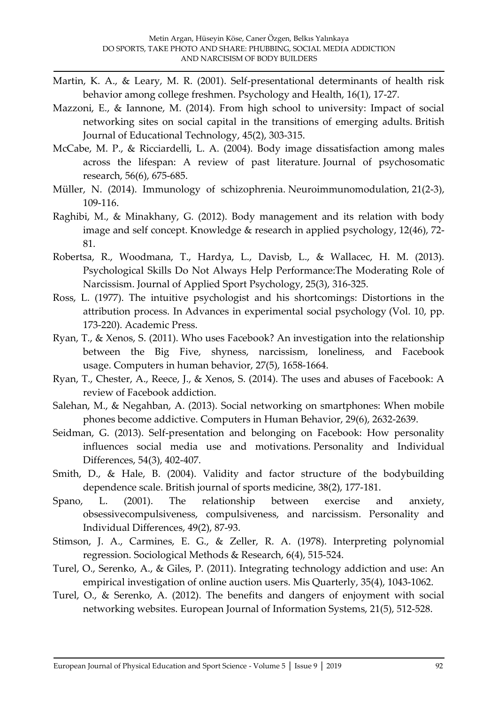- Martin, K. A., & Leary, M. R. (2001). Self-presentational determinants of health risk behavior among college freshmen. Psychology and Health, 16(1), 17-27.
- Mazzoni, E., & Iannone, M. (2014). From high school to university: Impact of social networking sites on social capital in the transitions of emerging adults. British Journal of Educational Technology, 45(2), 303-315.
- McCabe, M. P., & Ricciardelli, L. A. (2004). Body image dissatisfaction among males across the lifespan: A review of past literature. Journal of psychosomatic research, 56(6), 675-685.
- Müller, N. (2014). Immunology of schizophrenia. Neuroimmunomodulation, 21(2-3), 109-116.
- Raghibi, M., & Minakhany, G. (2012). Body management and its relation with body image and self concept. Knowledge & research in applied psychology, 12(46), 72- 81.
- Robertsa, R., Woodmana, T., Hardya, L., Davisb, L., & Wallacec, H. M. (2013). Psychological Skills Do Not Always Help Performance:The Moderating Role of Narcissism. Journal of Applied Sport Psychology, 25(3), 316-325.
- Ross, L. (1977). The intuitive psychologist and his shortcomings: Distortions in the attribution process. In Advances in experimental social psychology (Vol. 10, pp. 173-220). Academic Press.
- Ryan, T., & Xenos, S. (2011). Who uses Facebook? An investigation into the relationship between the Big Five, shyness, narcissism, loneliness, and Facebook usage. Computers in human behavior, 27(5), 1658-1664.
- Ryan, T., Chester, A., Reece, J., & Xenos, S. (2014). The uses and abuses of Facebook: A review of Facebook addiction.
- Salehan, M., & Negahban, A. (2013). Social networking on smartphones: When mobile phones become addictive. Computers in Human Behavior, 29(6), 2632-2639.
- Seidman, G. (2013). Self-presentation and belonging on Facebook: How personality influences social media use and motivations. Personality and Individual Differences, 54(3), 402-407.
- Smith, D., & Hale, B. (2004). Validity and factor structure of the bodybuilding dependence scale. British journal of sports medicine, 38(2), 177-181.
- Spano, L. (2001). The relationship between exercise and anxiety, obsessivecompulsiveness, compulsiveness, and narcissism. Personality and Individual Differences, 49(2), 87-93.
- Stimson, J. A., Carmines, E. G., & Zeller, R. A. (1978). Interpreting polynomial regression. Sociological Methods & Research, 6(4), 515-524.
- Turel, O., Serenko, A., & Giles, P. (2011). Integrating technology addiction and use: An empirical investigation of online auction users. Mis Quarterly, 35(4), 1043-1062.
- Turel, O., & Serenko, A. (2012). The benefits and dangers of enjoyment with social networking websites. European Journal of Information Systems, 21(5), 512-528.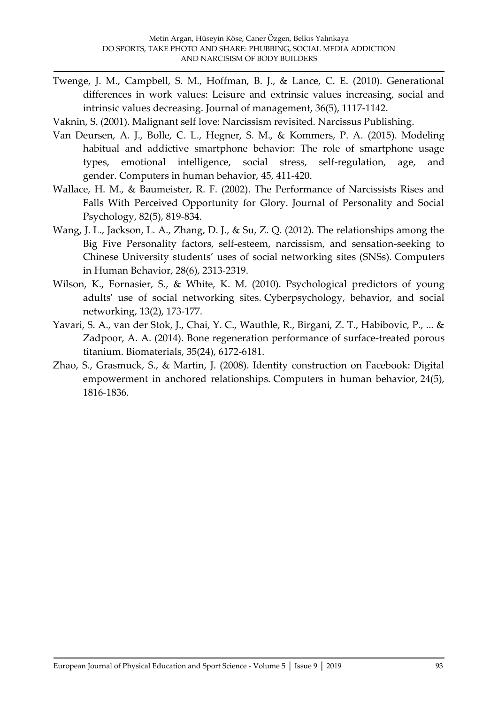- Twenge, J. M., Campbell, S. M., Hoffman, B. J., & Lance, C. E. (2010). Generational differences in work values: Leisure and extrinsic values increasing, social and intrinsic values decreasing. Journal of management, 36(5), 1117-1142.
- Vaknin, S. (2001). Malignant self love: Narcissism revisited. Narcissus Publishing.
- Van Deursen, A. J., Bolle, C. L., Hegner, S. M., & Kommers, P. A. (2015). Modeling habitual and addictive smartphone behavior: The role of smartphone usage types, emotional intelligence, social stress, self-regulation, age, and gender. Computers in human behavior, 45, 411-420.
- Wallace, H. M., & Baumeister, R. F. (2002). The Performance of Narcissists Rises and Falls With Perceived Opportunity for Glory. Journal of Personality and Social Psychology, 82(5), 819-834.
- Wang, J. L., Jackson, L. A., Zhang, D. J., & Su, Z. Q. (2012). The relationships among the Big Five Personality factors, self-esteem, narcissism, and sensation-seeking to Chinese University students' uses of social networking sites (SNSs). Computers in Human Behavior, 28(6), 2313-2319.
- Wilson, K., Fornasier, S., & White, K. M. (2010). Psychological predictors of young adults' use of social networking sites. Cyberpsychology, behavior, and social networking, 13(2), 173-177.
- Yavari, S. A., van der Stok, J., Chai, Y. C., Wauthle, R., Birgani, Z. T., Habibovic, P., ... & Zadpoor, A. A. (2014). Bone regeneration performance of surface-treated porous titanium. Biomaterials, 35(24), 6172-6181.
- Zhao, S., Grasmuck, S., & Martin, J. (2008). Identity construction on Facebook: Digital empowerment in anchored relationships. Computers in human behavior, 24(5), 1816-1836.